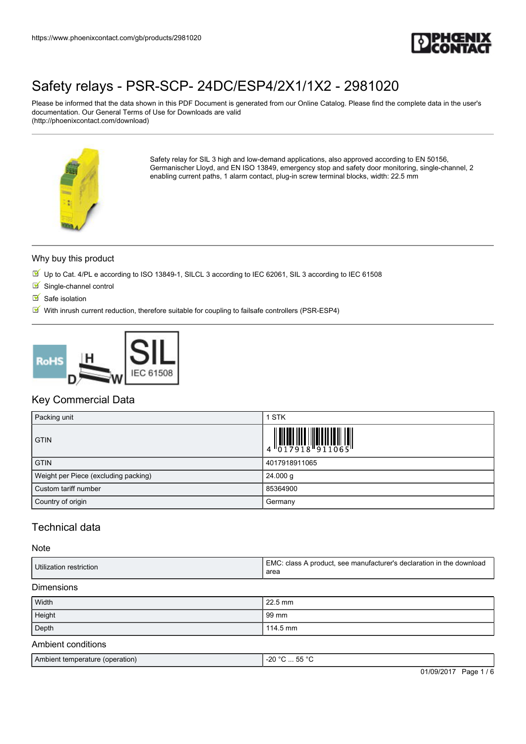

Please be informed that the data shown in this PDF Document is generated from our Online Catalog. Please find the complete data in the user's documentation. Our General Terms of Use for Downloads are valid (http://phoenixcontact.com/download)



Safety relay for SIL 3 high and low-demand applications, also approved according to EN 50156, Germanischer Lloyd, and EN ISO 13849, emergency stop and safety door monitoring, single-channel, 2 enabling current paths, 1 alarm contact, plug-in screw terminal blocks, width: 22.5 mm

#### Why buy this product

- Up to Cat. 4/PL e according to ISO 13849-1, SILCL 3 according to IEC 62061, SIL 3 according to IEC 61508
- $\blacksquare$  Single-channel control
- $\blacksquare$  Safe isolation
- $\boxtimes'$  With inrush current reduction, therefore suitable for coupling to failsafe controllers (PSR-ESP4)



## Key Commercial Data

| Packing unit                         | <b>STK</b>                                                                                                                                                                                                                                                                                                                  |
|--------------------------------------|-----------------------------------------------------------------------------------------------------------------------------------------------------------------------------------------------------------------------------------------------------------------------------------------------------------------------------|
| <b>GTIN</b>                          | $\begin{array}{c} 1 & 0 & 0 & 0 & 0 \\ 0 & 1 & 0 & 0 & 0 \\ 0 & 0 & 1 & 0 & 0 \\ 0 & 0 & 0 & 0 & 0 \\ 0 & 0 & 0 & 0 & 0 \\ 0 & 0 & 0 & 0 & 0 \\ 0 & 0 & 0 & 0 & 0 \\ 0 & 0 & 0 & 0 & 0 \\ 0 & 0 & 0 & 0 & 0 \\ 0 & 0 & 0 & 0 & 0 \\ 0 & 0 & 0 & 0 & 0 \\ 0 & 0 & 0 & 0 & 0 & 0 \\ 0 & 0 & 0 & 0 & 0 & 0 \\ 0 & 0 & 0 & 0 &$ |
| <b>GTIN</b>                          | 4017918911065                                                                                                                                                                                                                                                                                                               |
| Weight per Piece (excluding packing) | 24.000 g                                                                                                                                                                                                                                                                                                                    |
| Custom tariff number                 | 85364900                                                                                                                                                                                                                                                                                                                    |
| Country of origin                    | Germany                                                                                                                                                                                                                                                                                                                     |

## Technical data

#### Note

| Utilization restriction | EMC: class A product, see manufacturer's declaration in the download<br>area |
|-------------------------|------------------------------------------------------------------------------|
| <b>Dimensions</b>       |                                                                              |
| Width                   | 22.5 mm                                                                      |
| Height                  | 99 mm                                                                        |
| Depth                   | $114.5 \text{ mm}$                                                           |

#### Ambient conditions

| l Ambient temperature<br>(operation) | $-0.00$<br>-20<br>.<br>. .<br>- |
|--------------------------------------|---------------------------------|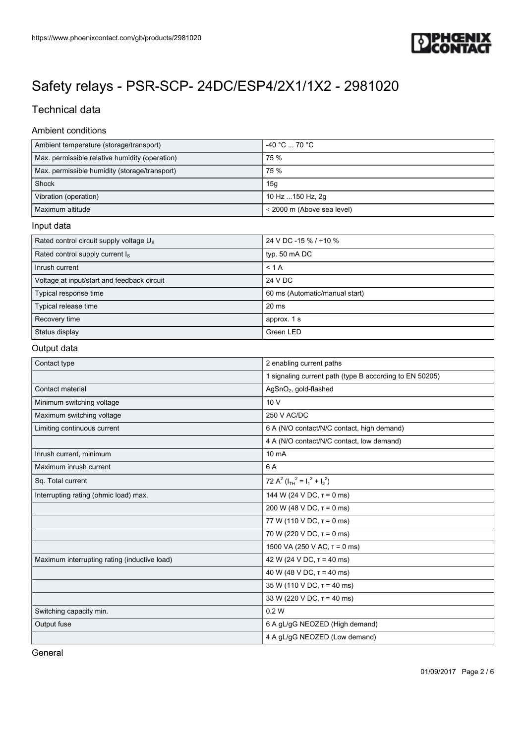

## Technical data

### Ambient conditions

| Ambient temperature (storage/transport)        | $-40 °C \dots 70 °C$            |
|------------------------------------------------|---------------------------------|
| Max. permissible relative humidity (operation) | 75 %                            |
| Max. permissible humidity (storage/transport)  | 75 %                            |
| Shock                                          | 15 <sub>q</sub>                 |
| Vibration (operation)                          | 10 Hz  150 Hz, 2g               |
| Maximum altitude                               | $\leq$ 2000 m (Above sea level) |

#### Input data

| Rated control circuit supply voltage U <sub>s</sub> | 24 V DC -15 % / +10 %          |
|-----------------------------------------------------|--------------------------------|
| Rated control supply current I <sub>s</sub>         | typ. 50 mA DC                  |
| Inrush current                                      | < 1 A                          |
| Voltage at input/start and feedback circuit         | 24 V DC                        |
| Typical response time                               | 60 ms (Automatic/manual start) |
| Typical release time                                | $20$ ms                        |
| Recovery time                                       | approx. 1 s                    |
| Status display                                      | Green LED                      |

#### Output data

| Contact type                                 | 2 enabling current paths                                |
|----------------------------------------------|---------------------------------------------------------|
|                                              | 1 signaling current path (type B according to EN 50205) |
| Contact material                             | AgSnO <sub>2</sub> , gold-flashed                       |
| Minimum switching voltage                    | 10V                                                     |
| Maximum switching voltage                    | 250 V AC/DC                                             |
| Limiting continuous current                  | 6 A (N/O contact/N/C contact, high demand)              |
|                                              | 4 A (N/O contact/N/C contact, low demand)               |
| Inrush current, minimum                      | 10 mA                                                   |
| Maximum inrush current                       | 6 A                                                     |
| Sq. Total current                            | 72 A <sup>2</sup> ( $I_{TH}^2 = I_1^2 + I_2^2$ )        |
| Interrupting rating (ohmic load) max.        | 144 W (24 V DC, $\tau$ = 0 ms)                          |
|                                              | 200 W (48 V DC, $T = 0$ ms)                             |
|                                              | 77 W (110 V DC, $\tau$ = 0 ms)                          |
|                                              | 70 W (220 V DC, $\tau$ = 0 ms)                          |
|                                              | 1500 VA (250 V AC, $\tau$ = 0 ms)                       |
| Maximum interrupting rating (inductive load) | 42 W (24 V DC, $\tau$ = 40 ms)                          |
|                                              | 40 W (48 V DC, $\tau$ = 40 ms)                          |
|                                              | $35 W (110 V DC, \tau = 40 ms)$                         |
|                                              | 33 W (220 V DC, $\tau$ = 40 ms)                         |
| Switching capacity min.                      | 0.2W                                                    |
| Output fuse                                  | 6 A gL/gG NEOZED (High demand)                          |
|                                              | 4 A gL/gG NEOZED (Low demand)                           |

General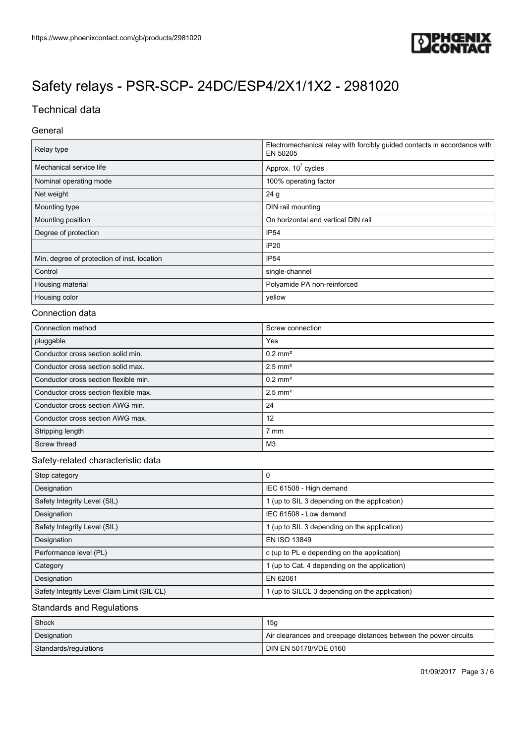

## Technical data

### General

| Relay type                                  | Electromechanical relay with forcibly guided contacts in accordance with<br>EN 50205 |
|---------------------------------------------|--------------------------------------------------------------------------------------|
| Mechanical service life                     | Approx. $10^7$ cycles                                                                |
| Nominal operating mode                      | 100% operating factor                                                                |
| Net weight                                  | 24 <sub>g</sub>                                                                      |
| Mounting type                               | DIN rail mounting                                                                    |
| Mounting position                           | On horizontal and vertical DIN rail                                                  |
| Degree of protection                        | IP <sub>54</sub>                                                                     |
|                                             | <b>IP20</b>                                                                          |
| Min. degree of protection of inst. location | IP <sub>54</sub>                                                                     |
| Control                                     | single-channel                                                                       |
| Housing material                            | Polyamide PA non-reinforced                                                          |
| Housing color                               | yellow                                                                               |

#### Connection data

| Connection method                     | Screw connection      |
|---------------------------------------|-----------------------|
| pluggable                             | Yes                   |
| Conductor cross section solid min.    | $0.2$ mm <sup>2</sup> |
| Conductor cross section solid max.    | $2.5$ mm <sup>2</sup> |
| Conductor cross section flexible min. | $0.2$ mm <sup>2</sup> |
| Conductor cross section flexible max. | $2.5$ mm <sup>2</sup> |
| Conductor cross section AWG min.      | 24                    |
| Conductor cross section AWG max.      | 12                    |
| Stripping length                      | 7 mm                  |
| Screw thread                          | M3                    |

### Safety-related characteristic data

| Stop category                               | 0                                              |
|---------------------------------------------|------------------------------------------------|
| Designation                                 | IEC 61508 - High demand                        |
| Safety Integrity Level (SIL)                | 1 (up to SIL 3 depending on the application)   |
| Designation                                 | IEC 61508 - Low demand                         |
| Safety Integrity Level (SIL)                | 1 (up to SIL 3 depending on the application)   |
| Designation                                 | EN ISO 13849                                   |
| Performance level (PL)                      | c (up to PL e depending on the application)    |
| Category                                    | 1 (up to Cat. 4 depending on the application)  |
| Designation                                 | EN 62061                                       |
| Safety Integrity Level Claim Limit (SIL CL) | 1 (up to SILCL 3 depending on the application) |

### Standards and Regulations

| Shock                 | 15g                                                              |
|-----------------------|------------------------------------------------------------------|
| Designation           | Air clearances and creepage distances between the power circuits |
| Standards/regulations | I DIN EN 50178/VDE 0160                                          |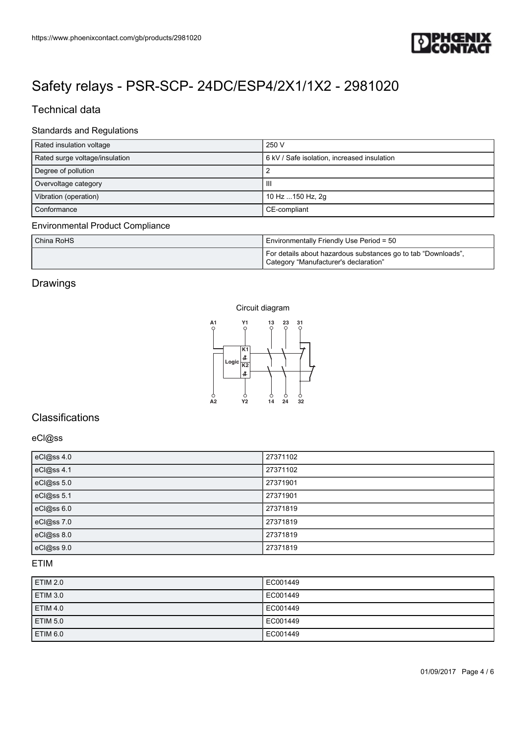

## Technical data

## Standards and Regulations

| Rated insulation voltage       | 250 V                                       |
|--------------------------------|---------------------------------------------|
| Rated surge voltage/insulation | 6 kV / Safe isolation, increased insulation |
| Degree of pollution            |                                             |
| Overvoltage category           | Ш                                           |
| Vibration (operation)          | 10 Hz  150 Hz, 2g                           |
| Conformance                    | CE-compliant                                |

#### Environmental Product Compliance

| China RoHS | Environmentally Friendly Use Period = 50                                                               |
|------------|--------------------------------------------------------------------------------------------------------|
|            | For details about hazardous substances go to tab "Downloads",<br>Category "Manufacturer's declaration" |

## Drawings



## **Classifications**

#### eCl@ss

| https://www.phoenixcontact.com/gb/products/2981020                                                                                                                                                         |                                                                                                        |
|------------------------------------------------------------------------------------------------------------------------------------------------------------------------------------------------------------|--------------------------------------------------------------------------------------------------------|
|                                                                                                                                                                                                            |                                                                                                        |
|                                                                                                                                                                                                            |                                                                                                        |
| Safety relays - PSR-SCP- 24DC/ESP4/2X1/1X2 - 2981020                                                                                                                                                       |                                                                                                        |
| <b>Technical data</b>                                                                                                                                                                                      |                                                                                                        |
| <b>Standards and Regulations</b>                                                                                                                                                                           |                                                                                                        |
| Rated insulation voltage                                                                                                                                                                                   | 250 V<br>6 kV / Safe isolation, increased insulation                                                   |
| Rated surge voltage/insulation<br>Degree of pollution                                                                                                                                                      | $\overline{c}$                                                                                         |
| Overvoltage category<br>Vibration (operation)                                                                                                                                                              | $\ensuremath{\mathsf{III}}\xspace$                                                                     |
|                                                                                                                                                                                                            |                                                                                                        |
|                                                                                                                                                                                                            | 10 Hz  150 Hz, 2g<br>CE-compliant                                                                      |
| Conformance                                                                                                                                                                                                |                                                                                                        |
|                                                                                                                                                                                                            | Environmentally Friendly Use Period = 50                                                               |
|                                                                                                                                                                                                            | For details about hazardous substances go to tab "Downloads",<br>Category "Manufacturer's declaration" |
|                                                                                                                                                                                                            |                                                                                                        |
| China RoHS                                                                                                                                                                                                 |                                                                                                        |
| Y1<br>A1<br>$\circ$<br>$\circ$                                                                                                                                                                             | Circuit diagram<br>13<br>23<br>31<br>$\circ$<br>O                                                      |
| <b>Environmental Product Compliance</b><br>Drawings                                                                                                                                                        |                                                                                                        |
| K1<br>4                                                                                                                                                                                                    |                                                                                                        |
| Logic K2<br>\$                                                                                                                                                                                             |                                                                                                        |
| $\frac{6}{42}$<br>Ò<br>Y <sub>2</sub>                                                                                                                                                                      | φ<br>$\frac{6}{32}$<br>$\frac{6}{24}$<br>14                                                            |
|                                                                                                                                                                                                            |                                                                                                        |
|                                                                                                                                                                                                            |                                                                                                        |
|                                                                                                                                                                                                            | 27371102                                                                                               |
|                                                                                                                                                                                                            | 27371102                                                                                               |
|                                                                                                                                                                                                            | 27371901                                                                                               |
|                                                                                                                                                                                                            | 27371901<br>27371819                                                                                   |
|                                                                                                                                                                                                            | 27371819                                                                                               |
|                                                                                                                                                                                                            | 27371819<br>27371819                                                                                   |
|                                                                                                                                                                                                            |                                                                                                        |
|                                                                                                                                                                                                            | EC001449                                                                                               |
| Classifications<br>eCl@ss<br>eCl@ss 4.0<br>eCl@ss 4.1<br>eCl@ss 5.0<br>eCl@ss 5.1<br>eCl@ss 6.0<br>eCl@ss 7.0<br>eCl@ss 8.0<br>eCl@ss 9.0<br>ETIM<br><b>ETIM 2.0</b><br><b>ETIM 3.0</b><br><b>ETIM 4.0</b> | EC001449<br>EC001449                                                                                   |

### ETIM

| <b>ETIM 2.0</b> | EC001449 |
|-----------------|----------|
| <b>ETIM 3.0</b> | EC001449 |
| <b>ETIM 4.0</b> | EC001449 |
| <b>ETIM 5.0</b> | EC001449 |
| <b>ETIM 6.0</b> | EC001449 |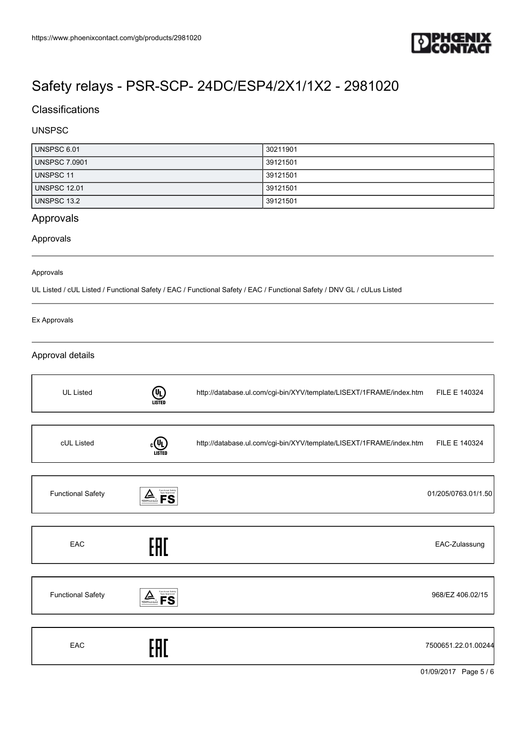

## **Classifications**

### UNSPSC

| UNSPSC 6.01          | 30211901 |
|----------------------|----------|
| <b>UNSPSC 7.0901</b> | 39121501 |
| UNSPSC 11            | 39121501 |
| <b>UNSPSC 12.01</b>  | 39121501 |
| <b>UNSPSC 13.2</b>   | 39121501 |

## Approvals

### Approvals

#### Approvals

UL Listed / cUL Listed / Functional Safety / EAC / Functional Safety / EAC / Functional Safety / DNV GL / cULus Listed

#### Ex Approvals

### Approval details

| <b>UL Listed</b>         | $(\mathsf{U}_\mathsf{L})$<br>LISTED                                           | http://database.ul.com/cgi-bin/XYV/template/LISEXT/1FRAME/index.htm               | FILE E 140324       |
|--------------------------|-------------------------------------------------------------------------------|-----------------------------------------------------------------------------------|---------------------|
| cUL Listed               | $\left(\!\! \begin{smallmatrix} 0 \ 0 \end{smallmatrix}\!\!\right)$<br>LISTEI | http://database.ul.com/cgi-bin/XYV/template/LISEXT/1FRAME/index.htm FILE E 140324 |                     |
| <b>Functional Safety</b> | Functional Safety<br>Type Approved<br>▱<br>TÜVRheinland                       |                                                                                   | 01/205/0763.01/1.50 |
| EAC                      | EAC                                                                           |                                                                                   | EAC-Zulassung       |
| <b>Functional Safety</b> | Functional Safety<br>Type Approved<br>$\sum_{\text{rowenential}}$             |                                                                                   | 968/EZ 406.02/15    |
| EAC                      |                                                                               |                                                                                   | 7500651.22.01.00244 |

01/09/2017 Page 5 / 6